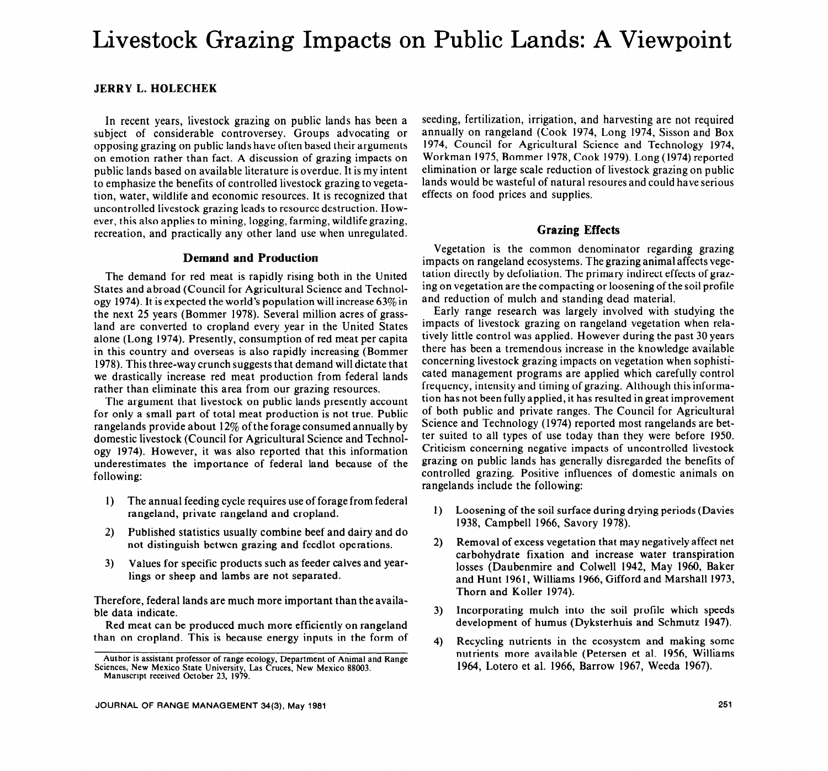# Livestock Grazing Impacts on Public Lands: **A** Viewpoint

## JERRY L. HOLECHEK

In recent years, livestock grazing on public lands has been a subject of considerable controversey. Groups advocating or opposing grazing on public lands have often based their arguments on emotion rather than fact. A discussion of grazing impacts on public lands based on available literature is overdue. It is my intent to emphasize the benefits of controlled livestock grazing to vegetation, water, wildlife and economic resources. It is recognized that uncontrolled livestock grazing leads to resource destruction. However, this also applies to mining, logging, farming, wildlife grazing, recreation, and practically any other land use when unregulated.

## **Demand and Production**

The demand for red meat is rapidly rising both in the United States and abroad (Council for Agricultural Science and Technology 1974). It is expected the world's population will increase  $63\%$  in the next 25 years (Bommer 1978). Several million acres of grassland are converted to cropland every year in the United States alone (Long 1974). Presently, consumption of red meat per capita in this country and overseas is also rapidly increasing (Bommer 1978). This three-way crunch suggests that demand will dictate that we drastically increase red meat production from federal lands rather than eliminate this area from our grazing resources.

The argument that livestock on public lands presently account for only a small part of total meat production is not true. Public rangelands provide about 12% of the forage consumed annually by domestic livestock (Council for Agricultural Science and Technology 1974). However, it was also reported that this information underestimates the importance of federal land because of the following:

- 1) The annual feeding cycle requires use of forage from federal rangeland, private rangeland and cropland.
- 2) Published statistics usually combine beef and dairy and do not distinguish betwen grazing and feedlot operations.
- 3) Values for specific products such as feeder calves and yearlings or sheep and lambs are not separated.

Therefore, federal lands are much more important than the available data indicate.

Red meat can be produced much more efficiently on rangeland than on cropland. This is because energy inputs in the form of

seeding, fertilization, irrigation, and harvesting are not required annually on rangeland (Cook 1974, Long 1974, Sisson and Box 1974, Council for Agricultural Science and Technology 1974, Workman 1975, Bommer 1978, Cook 1979). Long (1974) reported elimination or large scale reduction of livestock grazing on public lands would be wasteful of natural resoures and could have serious effects on food prices and supplies.

## **Grazing Effects**

Vegetation is the common denominator regarding grazing impacts on rangeland ecosystems. The grazing animal affects vegetation directly by defoliation. The primary indirect effects of grazing on vegetation are the compacting or loosening of the soil profile and reduction of mulch and standing dead material.

Early range research was largely involved with studying the impacts of livestock grazing on rangeland vegetation when relatively little control was applied. However during the past 30 years there has been a tremendous increase in the knowledge available concerning livestock grazing impacts on vegetation when sophisticated management programs are applied which carefully control frequency, intensity and timing of grazing. Although this information has not been fully applied, it has resulted in great improvement of both public and private ranges. The Council for Agricultural Science and Technology (1974) reported most rangelands are better suited to all types of use today than they were before 1950. Criticism concerning negative impacts of uncontrolled livestock grazing on public lands has generally disregarded the benefits of controlled grazing. Positive influences of domestic animals on rangelands include the following:

- $\bf{D}$ Loosening of the soil surface during drying periods (Davies 1938, Campbell 1966, Savory 1978).
- $2)$ Removal of excess vegetation that may negatively affect net carbohydrate fixation and increase water transpiration losses (Daubenmire and Colwell 1942, May 1960, Baker and Hunt 1961, Williams 1966, Gifford and Marshall 1973, Thorn and Koller 1974).
- Incorporating mulch into the soil profile which speeds 3) development of humus (Dyksterhuis and Schmutz 1947).
- $4)$ Recycling nutrients in the ecosystem and making some nutrients more available (Petersen et al. 1956, Williams 1964, Lotero et al. 1966, Barrow 1967, Weeda 1967).

Author is assistant professor of range ecology, Department of Animal and Range Sciences, New Mexico State University, Las Cruces, New Mexico 88003. Manuscript received October 23, 1979.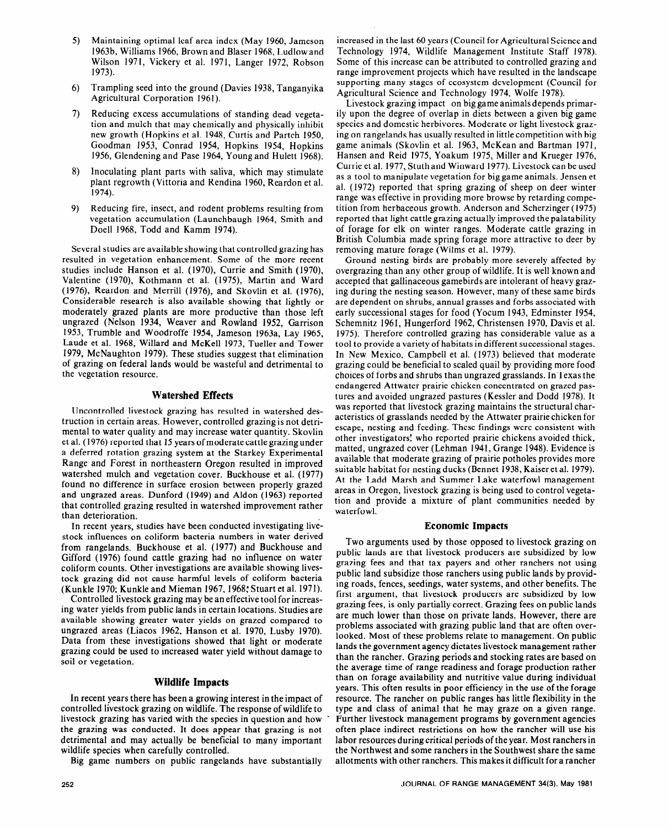- 5) Maintaining optimal leaf area index (May 1960, Jameson 1963b, Williams 1966, Brown and Blaser 1968, Ludlow and Wilson 1971, Vickery et al. 1971, Langer 1972, Robson 1973).
- 6) Trampling seed into the ground (Davies 1938, Tanganyika Agricultural Corporation 1961).
- 7) Reducing excess accumulations of standing dead vegetation and mulch that may chemically and physically inhibit new growth (Hopkins et al. 1948, Curtis and Partch 1950, Goodman 1953, Conrad 1954, Hopkins 1954, Hopkins 1956, Glendening and Pase 1964, Young and Hulett 1968).
- 8) Inoculating plant parts with saliva, which may stimulate plant regrowth (Vittoria and Rendina 1960, Reardon et al. 1974).
- 9) Reducing fire, insect, and rodent problems resulting from vegetation accumulation (Launchbaugh 1964, Smith and Doe11 1968, Todd and Kamm 1974).

Several studies are available showing that controlled grazing has resulted in vegetation enhancement. Some of the more recent studies include Hanson et al. (1970), Currie and Smith (1970), Valentine (1970), Kothmann et al. (1975), Martin and Ward (1976), Reardon and Merrill (1976), and Skovlin et al. (1976), Considerable research is also available showing that lightly or moderately grazed plants are more productive than those left ungrazed (Nelson 1934, Weaver and Rowland 1952, Garrison 1953, Trumble and Woodroffe 1954, Jameson 1963a, Lay 1965, Laude et al. 1968, Willard and McKell 1973, Tueller and Tower 1979, McNaughton 1979). These studies suggest that elimination of grazing on federal lands would be wasteful and detrimental to the vegetation resource.

## **Watershed Effects**

Uncontrolled livestock grazing has resulted in watershed destruction in certain areas. However, controlled grazing is not detrimental to water quality and may increase water quantity. Skovlin et al. ( 1976) reported that 15 years of moderate cattle grazing under a deferred rotation grazing system at the Starkey Experimental Range and Forest in northeastern Oregon resulted in improved watershed mulch and vegetation cover. Buckhouse et al. (1977) found no difference in surface erosion between properly grazed and ungrazed areas. Dunford (1949) and Aldon (1963) reported that controlled grazing resulted in watershed improvement rather than deterioration.

In recent years, studies have been conducted investigating livestock influences on coliform bacteria numbers in water derived from rangelands. Buckhouse et al. (1977) and Buckhouse and Gifford (1976) found cattle grazing had no influence on water coliform counts. Other investigations are available showing livestock grazing did not cause harmful levels of coliform bacteria (Kunkle 1970; Kunkle and Mieman 1967,1968: Stuart et al. 1971).

Controlled livestock grazing may be an effective tool for increasing water yields from public lands in certain locations. Studies are available showing greater water yields on grazed compared to ungrazed areas (Liacos 1962, Hanson et al. 1970, Lusby 1970). Data from these investigations showed that light or moderate grazing could be used to increased water yield without damage to soil or vegetation.

### **Wildlife Impacts**

In recent years there has been a growing interest in the impact of controlled livestock grazing on wildlife. The response of wildlife to livestock grazing has varied with the species in question and how \* Further livestock management programs by government agencies the grazing was conducted. It does appear that grazing is not often place indirect restrictions on how the rancher will use his detrimental and may actually be beneficial to many important labor resources during critical periods of the year. Most ranchers in wildlife species when carefully controlled. the Northwest and some ranchers in the Southwest share the same

Big game numbers on public rangelands have substantially allotments with other ranchers. This makes it difficult for a rancher

increased in the last 60 years (Council for Agricultural Science and Technology 1974, Wildlife Management Institute Staff 1978). Some of this increase can be attributed to controlled grazing and range improvement projects which have resulted in the landscape supporting many stages of ecosystem development (Council for Agricultural Science and Technology 1974, Wolfe 1978).

Livestock grazing impact on big game animals depends primarily upon the degree of overlap in diets between a given big game species and domestic herbivores. Moderate or light livestock grazing on rangelands has usually resulted in little competition with big game animals (Skovlin et al. 1963, McKean and Bartman 1971, Hansen and Reid 1975, Yoakum 1975, Miller and Krueger 1976, Currie et al. 1977, Stuth and Winward 1977). Livestock can be used as a tool to manipulate vegetation for big game animals. Jensen et al. (1972) reported that spring grazing of sheep on deer winter range was effective in providing more browse by retarding competition from herbaceous growth. Anderson and Scherzinger (1975) reported that light cattle grazing actually improved the palatability of forage for elk on winter ranges. Moderate cattle grazing in British Columbia made spring forage more attractive to deer by removing mature forage (Wilms et al. 1979).

Ground nesting birds are probably more severely affected by overgrazing than any other group of wildlife. It is well known and accepted that gallinaceous gamebirds are intolerant of heavy grazing during the nesting season. However, many of these same birds are dependent on shrubs, annual grasses and forbs associated with early successional stages for food (Yocum 1943, Edminster 1954, Schemnitz 1961, Hungerford 1962, Christensen 1970, Davis et al. 1975). Therefore controlled grazing has considerable value as a tool to provide a variety of habitats in different successional stages. In New Mexico, Campbell et al. (1973) believed that moderate grazing could be beneficial to scaled quail by providing more food choices of forbs and shrubs than ungrazed grasslands. In Texas the endangered Attwater prairie chicken concentrated on grazed pastures and avoided ungrazed pastures (Kessler and Dodd 1978). It was reported that livestock grazing maintains the structural characteristics of grasslands needed by the Attwater prairie chicken for escape, nesting and feeding. These findings were consistent with other investigators: who reported prairie chickens avoided thick, matted, ungrazed cover (Lehman 1941, Grange 1948). Evidence is available that moderate grazing of prairie potholes provides more suitable habitat for nesting ducks (Bennet 1938, Kaiser et al. 1979). At the Ladd Marsh and Summer Lake waterfowl management areas in Oregon, livestock grazing is being used to control vegetation and provide a mixture of plant communities needed by waterfowl.

#### **Economic Impacts**

Two arguments used by those opposed to livestock grazing on public lands are that livestock producers are subsidized by low grazing fees and that tax payers and other ranchers not using public land subsidize those ranchers using public lands by providing roads, fences, seedings, water systems, and other benefits. The first argument, that livestock producers are subsidized by low grazing fees, is only partially correct. Grazing fees on public lands are much lower than those on private lands. However, there are problems associated with grazing public land that are often overlooked. Most of these problems relate to management. On public lands the government agency dictates livestock management rather than the rancher. Grazing periods and stocking rates are based on the average time of range readiness and forage production rather than on forage availability and nutritive value during individual years. This often results in poor efficiency in the use of the forage resource. The rancher on public ranges has little flexibility in the type and class of animal that he may graze on a given range.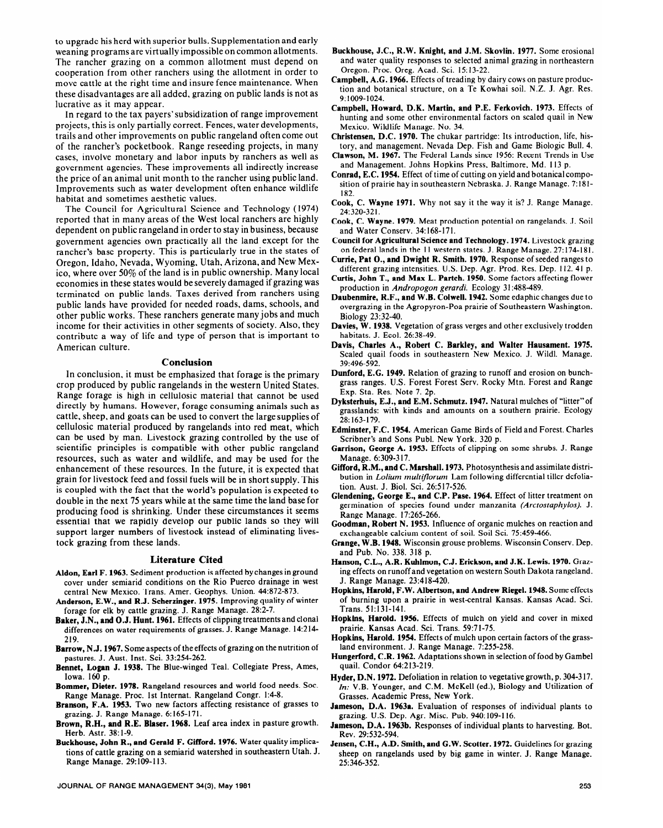to upgrade his herd with superior bulls. Supplementation and early weaning programs are virtually impossible on common allotments. The rancher grazing on a common allotment must depend on cooperation from other ranchers using the allotment in order to move cattle at the right time and insure fence maintenance. When these disadvantages are all added, grazing on public lands is not as lucrative as it may appear.

In regard to the tax payers' subsidization of range improvement projects, this is only partially correct. Fences, water developments, trails and other improvements on public rangeland often come out of the rancher's pocketbook. Range reseeding projects, in many cases, involve monetary and labor inputs by ranchers as well as government agencies. These improvements all indirectly increase the price of an animal unit month to the rancher using public land. Improvements such as water development often enhance wildlife habitat and sometimes aesthetic values.

The Council for Agricultural Science and Technology (1974) reported that in many areas of the West local ranchers are highly dependent on public rangeland in order to stay in business, because government agencies own practically all the land except for the rancher's base property. This is particularly true in the states of Oregon, Idaho, Nevada, Wyoming, Utah, Arizona, and New Mexico, where over 50% of the land is in public ownership. Many local economies in these states would be severely damaged if grazing was terminated on public lands. Taxes derived from ranchers using public lands have provided for needed roads, dams, schools, and other public works. These ranchers generate many jobs and much income for their activities in other segments of society. Also, they contribute a way of life and type of person that is important to American culture.

### **Conclusion**

**In** conclusion, it must be emphasized that forage is the primary crop produced by public rangelands in the western United States. Range forage is high in cellulosic material that cannot be used directly by humans. However, forage consuming animals such as cattle, sheep, and goats can be used to convert the large supplies of cellulosic material produced by rangelands into red meat, which can be used by man. Livestock grazing controlled by the use of scientific principles is compatible with other public rangeland resources, such as water and wildlife, and may be used for the enhancement of these resources. In the future, it is expected that grain for livestock feed and fossil fuels will be in short supply. This is coupled with the fact that the world's population is expected to double in the next 75 years while at the same time the land base for producing food is shrinking. Under these circumstances it seems essential that we rapidly develop our public lands so they will support larger numbers of livestock instead of eliminating livestock grazing from these lands.

#### **Literature Cited**

- **Aldon, Earl F. 1963.** Sediment production is affected by changes in ground cover under semiarid conditions on the Rio Puerco drainage in west central New Mexico. Trans. Amer. Geophys. Union. 44:872-873.
- **Anderson, E.W., and R.J. Scherzinger. 1975.** Improving quality of winter forage for elk by cattle grazing. J. Range Manage. 28:2-7.
- **Baker, J.N., and O.J. Hunt. 1961.** Effects of clipping treatments and clonal differences on water requirements of grasses. J. Range Manage. 14:214- 219.
- **Barrow, N.J. 1967.** Some aspects of the effects of grazing on the nutrition of pastures. J. Aust. Inst. Sci. 33:254-262.
- **Bennet, Logan J. 1938.** The Blue-winged Teal. Collegiate Press, Ames, Iowa. 160 p.
- **Bommer, Dieter. 1978.** Rangeland resources and world food needs. Sot. Range Manage. Proc. 1st Internat. Rangeland Congr. 1:4-8.
- **Branson, F.A. 1953.** Two new factors affecting resistance of grasses to grazing. J. Range Manage. 6:165-171.
- **Brown, R.H., Andrew Brown, Brown, R.H., and R.H.**<br>**B.H., B.H., B.H., Blasser. 1968.** Leaf area index in pasture growth. 1994, A.H., 881 A.<br>Umrli A.J. 30:1-0. **Bucho, ASU, Jo. 1-7.**<br>**Buckhouse, J. G. L. Gifford. 1976.** and Gerald F. Gifford. International implications
- tions of cattle grazing on a semiarid watershed in southeastern Utah. J. tions of cattle grazing on a semiarid watershed in southeastern Utah. J.<br>Range Manage. 29:109-113.
- **Buckhouse, J.C., R.W. Knight, and J.M. Skovlin. 1977.** Some erosional and water quality responses to selected animal grazing in northeastern Oregon. Proc. Oreg. Acad. Sci. 15:13-22.
- **Campbell, A.G. 1966.** Effects of treading by dairy cows on pasture production and botanical structure, on a Te Kowhai soil. N.Z. J. Agr. Res. 9:1009-1024.
- **Campbell, Howard, D.K. Martin, and P.E. Ferkovich. 1973.** Effects of hunting and some other environmental factors on scaled quail in New Mexico. Wildlife Manage. No. 34.
- **Christensen, D.C. 1970.** The chukar partridge: Its introduction, life, history, and management. Nevada Dep. Fish and Game Biologic Bull. 4.
- **Clawson, M. 1967.** The Federal Lands since 1956: Recent Trends in Use and Management. Johns Hopkins Press, Baltimore, Md. 113 p.
- **Conrad, E.C. 1954.** Effect of time of cutting on yield and botanical composition of prairie hay in southeastern Nebraska. J. Range Manage. 7: 18 l-182.
- **Cook, C. Wayne 1971.** Why not say it the way it is? J. Range Manage. 24:320-321.
- **Cook, C. Wayne. 1979.** Meat production potential on rangelands. J. Soil and Water Conserv. 34:168-171.
- **Council for Agricultural Science and Technology. 1974.** Livestock grazing on federal lands in the 11 western states. J. Range Manage. 27: 174-181.
- Currie, **Pat O., and Dwight R. Smith. 1970.** Response of seeded ranges to different grazing intensities. U.S. Dep. Agr. Prod. Res. Dep. 112. 41 p.
- **Curtis, John T., and Max L. Partch. 1950.** Some factors affecting flower production in *Andropogon gerardi.* Ecology 31:488-489.
- **Daubenmire, R.F., and W.B. Colwell. 1942.** Some edaphic changes due to overgrazing in the Agropyron-Poa prairie of Southeastern Washington. Biology 23:32-40.
- **Davies, W. 1938.** Vegetation of grass verges and other exclusively trodden habitats. J. Ecol. 26:38-49.
- **Davis, Charles A., Robert C. Barkley, and Walter Hausament. 1975.**  Scaled quail foods in southeastern New Mexico. J. Wildl. Manage. 39:496-592.
- **Dunford, E.G. 1949.** Relation of grazing to runoff and erosion on bunchgrass ranges. U.S. Forest Forest Serv. Rocky Mtn. Forest and Range Exp. Sta. Res. Note 7. 2p.
- **Dyksterhuis, E.J., and E.M. Schmutz. 1947.** Natural mulches of "1itter"of grasslands: with kinds and amounts on a southern prairie. Ecology 28: 163-179.
- **Edminster, F.C. 1954.** American Game Birds of Field and Forest. Charles Scribner's and Sons Publ. New York. 320 p.
- **Garrison, George A. 1953.** Effects of clipping on some shrubs. J. Range Manage. 6:309-3 17.
- **Gifford, R.M., and C. Marshall. 1973.** Photosynthesis and assimilate distribution in *Lolium mulriflorum* Lam following differential tiller defoliation. Aust. J. Biol. Sci. 26:517-526.
- **Glendening, George E., and C.P. Pase. 1964.** Effect of litter treatment on germination of species found under manzanita *(Arctostaphylos).* J. Range Manage. 17:265-266.
- **Goodman, Robert N. 1953.** Influence of organic mulches on reaction and exchangeable calcium content of soil. Soil Sci. 75:459-466.
- **Grange, W.B. 1948.** Wisconsin grouse problems. Wisconsin Conserv. Dep. and Pub. No. 338. 318 p.
- **Hanson, C.L., A.R. Kuhlmon, C.J. Erickson, and J.K. Lewis. 1970.** Grazing effects on runoff and vegetation on western South Dakota rangeland. J. Range Manage. 23:418-420.
- **Hopkins, Harold, F.W. Alhertson, and Andrew Riegel. 1948.** Some effects of burning upon a prairie in west-central Kansas. Kansas Acad. Sci. Trans. 51:131-141.
- **Hopkins, Harold. 1956.** Effects of mulch on yield and cover in mixed prairie. Kansas Acad. Sci. Trans. 59:71-75.
- **Hopkins, Harold. 1954.** Effects of mulch upon certain factors of the grassland environment. J. Range Manage. 7:255-258.
- **Hungerford, C.R. 1962.** Adaptations shown in selection of food by Gambel quail. Condor 64:213-219.
- **Hyder, D.N. 1972.** Defoliation in relation to vegetative growth, p. 304-3 17. In: V.B. Younger, and C.M. McKell (ed.), Biology and Utilization of Grasses. Academic Press, New York. **Jameson, D.A. 1963a.** Evaluation of responses of individual plants to
- $\mu$ grazing. U.S. Dep. Agr. Misc. Pub. 940: 109-116. **Jameson, D.A. 1963b.** Responses of individual plants to harvesting. Bot.
- нкэчн, *р.*д. 17<br>D.g. 20.633-604 **Jensen, C.H., A.D. Smith, and G.W. Scatter. 1972.** Guidelines for grazing
- sheep on rangelands used by big game in winter. J. Range Manage. sheep on rangelands used by big game in winter. J. Range Manage.<br>25:346-352.